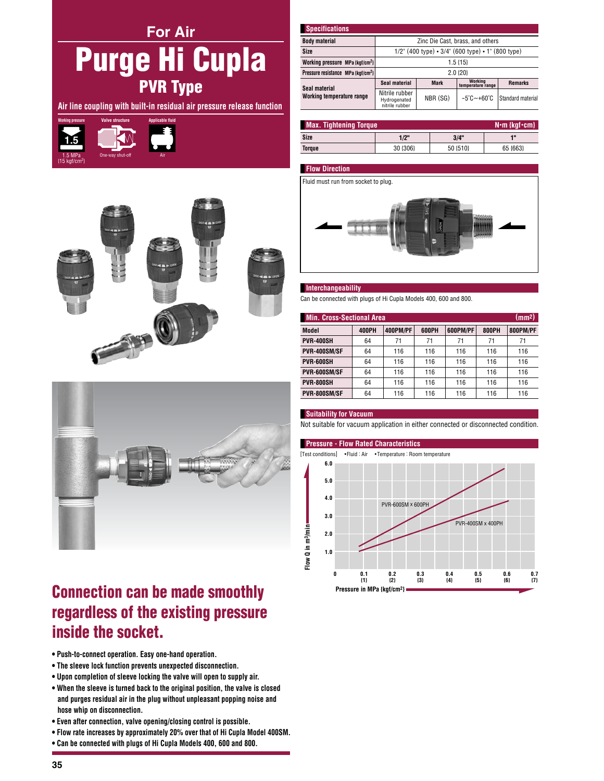# **For Air Purge Hi Cupla PVR Type**

Air line coupling with built-in residual air pressure release function







## **Connection can be made smoothly** regardless of the existing pressure inside the socket.

- . Push-to-connect operation. Easy one-hand operation.
- The sleeve lock function prevents unexpected disconnection.
- . Upon completion of sleeve locking the valve will open to supply air.
- . When the sleeve is turned back to the original position, the valve is closed and purges residual air in the plug without unpleasant popping noise and hose whip on disconnection.
- . Even after connection, valve opening/closing control is possible.
- . Flow rate increases by approximately 20% over that of Hi Cupla Model 400SM.
- . Can be connected with plugs of Hi Cupla Models 400, 600 and 800.

| <b>Specifications</b>                          |                                                      |             |                                 |                   |  |  |
|------------------------------------------------|------------------------------------------------------|-------------|---------------------------------|-------------------|--|--|
| <b>Body material</b>                           | Zinc Die Cast, brass, and others                     |             |                                 |                   |  |  |
| Size                                           | $1/2$ " (400 type) • 3/4" (600 type) • 1" (800 type) |             |                                 |                   |  |  |
| Working pressure MPa {kgf/cm <sup>2</sup> }    | $1.5 \{15\}$                                         |             |                                 |                   |  |  |
| Pressure resistance MPa {kgf/cm <sup>2</sup> } | $2.0$ $\{20\}$                                       |             |                                 |                   |  |  |
| Seal material<br>Working temperature range     | Seal material                                        | <b>Mark</b> | Working<br>temperature range    | <b>Remarks</b>    |  |  |
|                                                | Nitrile rubber<br>Hydrogenated<br>nitrile rubber     | NBR (SG)    | $-5^{\circ}$ C $-+60^{\circ}$ C | Standard material |  |  |

| <b>Max. Tightening Torque</b><br>$N \cdot m$ {kgf $\cdot$ cm} |          |          |          |  |
|---------------------------------------------------------------|----------|----------|----------|--|
| Size                                                          | 1/2"     | 3/4"     | 48       |  |
| Torque                                                        | 30 {306} | 50 {510} | 65 {663} |  |

## **Flow Direction**

Fluid must run from socket to plug.



## Interchangeability

Can be connected with plugs of Hi Cupla Models 400, 600 and 800.

| (mm <sup>2</sup> )<br><b>Min. Cross-Sectional Area</b> |              |          |       |          |              |          |  |
|--------------------------------------------------------|--------------|----------|-------|----------|--------------|----------|--|
| <b>Model</b>                                           | <b>400PH</b> | 400PM/PF | 600PH | 600PM/PF | <b>800PH</b> | 800PM/PF |  |
| <b>PVR-400SH</b>                                       | 64           | 71       | 71    | 71       | 71           | 71       |  |
| PVR-400SM/SF                                           | 64           | 116      | 116   | 116      | 116          | 116      |  |
| PVR-600SH                                              | 64           | 116      | 116   | 116      | 116          | 116      |  |
| PVR-600SM/SF                                           | 64           | 116      | 116   | 116      | 116          | 116      |  |
| PVR-800SH                                              | 64           | 116      | 116   | 116      | 116          | 116      |  |
| PVR-800SM/SF                                           | 64           | 116      | 116   | 116      | 116          | 116      |  |

## **Suitability for Vacuum**

Not suitable for vacuum application in either connected or disconnected condition.

### **Pressure - Flow Rated Characteristics**

[Test conditions]  $\bullet$ Fluid : Air • Temperature : Room temperature